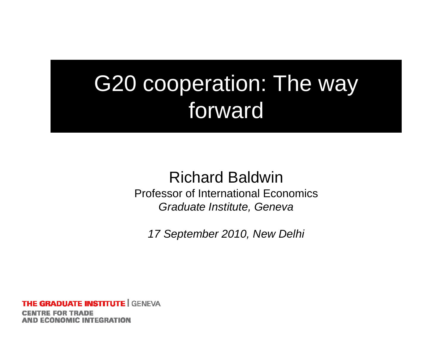#### G20 cooperation: The way forward

#### Richard Baldwin Professor of International Economics *Graduate Institute, Geneva*

*17 September 2010, New Delhi 2010,*

**E GRADUATE INSTITUTE |** GENEVA **AND ECONOMIC INTEGRATION**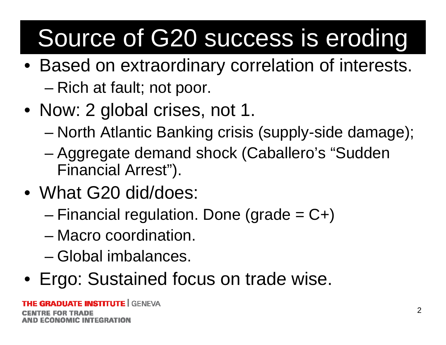# Source of G20 success is eroding

- Based on extraordinary correlation of interests. –Rich at fault; not poor.
- Now: 2 global crises, not 1.
	- –North Atlantic Banking crisis (supply-side damage);
	- – Aggregate demand shock (Caballero's "Sudden Financial Arrest").
- What G20 did/does:
	- –Financial regulation. Done (grade  $= C+$ )
	- Macro coordination.
	- Global imbalances.
- Ergo: Sustained focus on trade wise.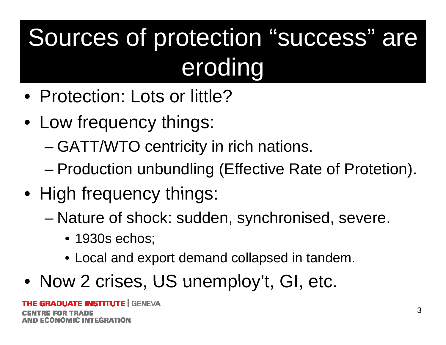## Sources of protection "success" are eroding

- Protection: Lots or little?
- Low frequency things:
	- – $-$  GATT/WTO centricity in rich nations.
	- –Production unbundling (Effective Rate of Protetion).
- High frequency things:
	- – Nature of shock: sudden, synchronised, severe.
		- 1930s echos;
		- Local and export demand collapsed in tandem.
- Now 2 crises, US unemploy't, GI, etc.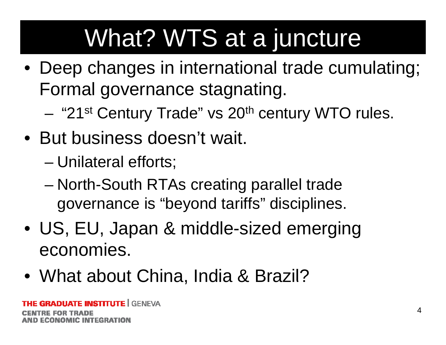### What? WTS at a juncture

- $\bullet\,$  Deep changes in international trade cumulating; Formal governance stagnating.
	- "21<sup>st</sup> Century Trade" vs 20<sup>th</sup> century WTO rules.
- But business doesn't wait.
	- –Unilateral efforts;
	- – North-South RTAs creating parallel trade governance is "beyond tariffs" disciplines.
- US, EU, Japan & middle-sized emerging economies.
- What about China, India & Brazil?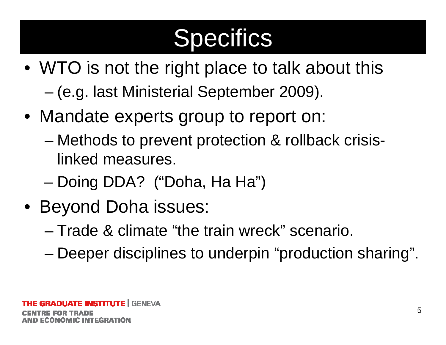#### **Specifics**

- WTO is not the right place to talk about this
	- –(e.g. last Ministerial September 2009).
- Mandate experts group to report on:
	- – Methods to prevent protection & rollback crisislinked measures.
	- Doing DDA? ("Doha, Ha Ha")
- Beyond Doha issues:
	- Trade & climate "the train wreck" scenario.
	- Deeper disciplines to underpin "production sharing".